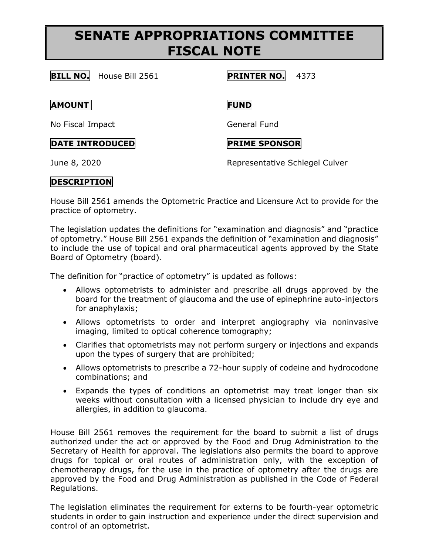# **SENATE APPROPRIATIONS COMMITTEE FISCAL NOTE**

### **BILL NO.** House Bill 2561 **PRINTER NO.** 4373

#### **AMOUNT FUND**

No Fiscal Impact General Fund

## **DATE INTRODUCED PRIME SPONSOR**

June 8, 2020 Representative Schlegel Culver

## **DESCRIPTION**

House Bill 2561 amends the Optometric Practice and Licensure Act to provide for the practice of optometry.

The legislation updates the definitions for "examination and diagnosis" and "practice of optometry." House Bill 2561 expands the definition of "examination and diagnosis" to include the use of topical and oral pharmaceutical agents approved by the State Board of Optometry (board).

The definition for "practice of optometry" is updated as follows:

- Allows optometrists to administer and prescribe all drugs approved by the board for the treatment of glaucoma and the use of epinephrine auto-injectors for anaphylaxis;
- Allows optometrists to order and interpret angiography via noninvasive imaging, limited to optical coherence tomography;
- Clarifies that optometrists may not perform surgery or injections and expands upon the types of surgery that are prohibited;
- Allows optometrists to prescribe a 72-hour supply of codeine and hydrocodone combinations; and
- Expands the types of conditions an optometrist may treat longer than six weeks without consultation with a licensed physician to include dry eye and allergies, in addition to glaucoma.

House Bill 2561 removes the requirement for the board to submit a list of drugs authorized under the act or approved by the Food and Drug Administration to the Secretary of Health for approval. The legislations also permits the board to approve drugs for topical or oral routes of administration only, with the exception of chemotherapy drugs, for the use in the practice of optometry after the drugs are approved by the Food and Drug Administration as published in the Code of Federal Regulations.

The legislation eliminates the requirement for externs to be fourth-year optometric students in order to gain instruction and experience under the direct supervision and control of an optometrist.